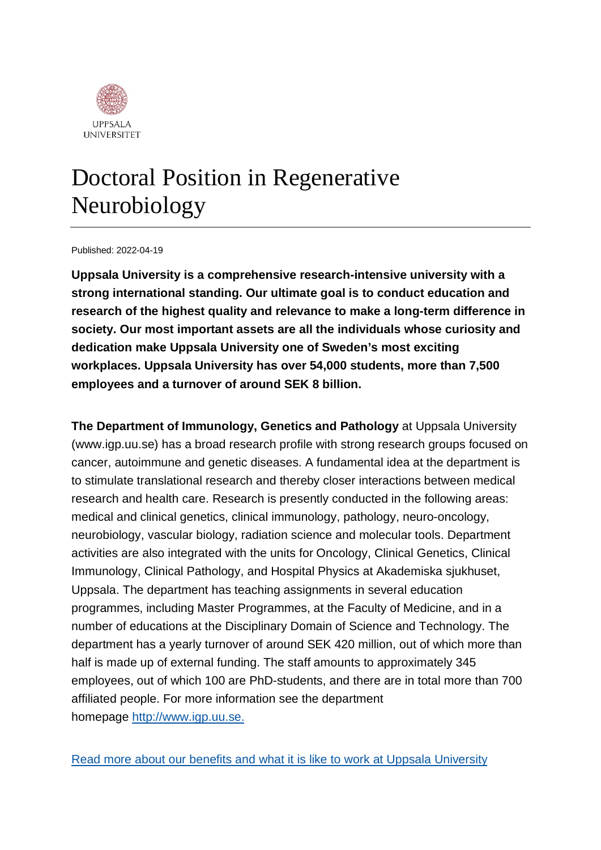

## Doctoral Position in Regenerative Neurobiology

#### Published: 2022-04-19

**Uppsala University is a comprehensive research-intensive university with a strong international standing. Our ultimate goal is to conduct education and research of the highest quality and relevance to make a long-term difference in society. Our most important assets are all the individuals whose curiosity and dedication make Uppsala University one of Sweden's most exciting workplaces. Uppsala University has over 54,000 students, more than 7,500 employees and a turnover of around SEK 8 billion.**

**The Department of Immunology, Genetics and Pathology** at Uppsala University (www.igp.uu.se) has a broad research profile with strong research groups focused on cancer, autoimmune and genetic diseases. A fundamental idea at the department is to stimulate translational research and thereby closer interactions between medical research and health care. Research is presently conducted in the following areas: medical and clinical genetics, clinical immunology, pathology, neuro-oncology, neurobiology, vascular biology, radiation science and molecular tools. Department activities are also integrated with the units for Oncology, Clinical Genetics, Clinical Immunology, Clinical Pathology, and Hospital Physics at Akademiska sjukhuset, Uppsala. The department has teaching assignments in several education programmes, including Master Programmes, at the Faculty of Medicine, and in a number of educations at the Disciplinary Domain of Science and Technology. The department has a yearly turnover of around SEK 420 million, out of which more than half is made up of external funding. The staff amounts to approximately 345 employees, out of which 100 are PhD-students, and there are in total more than 700 affiliated people. For more information see the department homepage [http://www.igp.uu.se.](http://www.igp.uu.se./)

[Read more about our benefits and what it is like to work at Uppsala University](https://www.uu.se/en/about-uu/join-us/)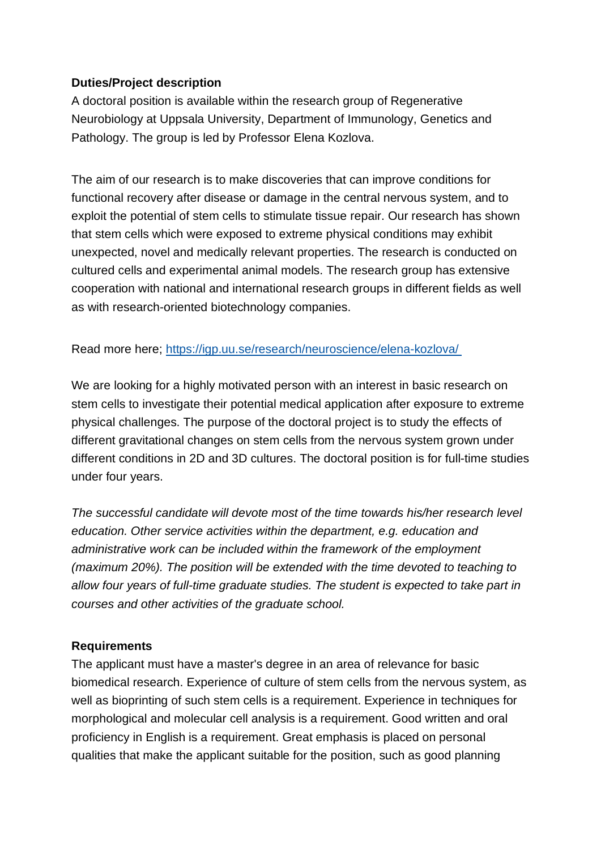### **Duties/Project description**

A doctoral position is available within the research group of Regenerative Neurobiology at Uppsala University, Department of Immunology, Genetics and Pathology. The group is led by Professor Elena Kozlova.

The aim of our research is to make discoveries that can improve conditions for functional recovery after disease or damage in the central nervous system, and to exploit the potential of stem cells to stimulate tissue repair. Our research has shown that stem cells which were exposed to extreme physical conditions may exhibit unexpected, novel and medically relevant properties. The research is conducted on cultured cells and experimental animal models. The research group has extensive cooperation with national and international research groups in different fields as well as with research-oriented biotechnology companies.

#### Read more here; <https://igp.uu.se/research/neuroscience/elena-kozlova/>

We are looking for a highly motivated person with an interest in basic research on stem cells to investigate their potential medical application after exposure to extreme physical challenges. The purpose of the doctoral project is to study the effects of different gravitational changes on stem cells from the nervous system grown under different conditions in 2D and 3D cultures. The doctoral position is for full-time studies under four years.

*The successful candidate will devote most of the time towards his/her research level education. Other service activities within the department, e.g. education and administrative work can be included within the framework of the employment (maximum 20%). The position will be extended with the time devoted to teaching to allow four years of full-time graduate studies. The student is expected to take part in courses and other activities of the graduate school.*

#### **Requirements**

The applicant must have a master's degree in an area of relevance for basic biomedical research. Experience of culture of stem cells from the nervous system, as well as bioprinting of such stem cells is a requirement. Experience in techniques for morphological and molecular cell analysis is a requirement. Good written and oral proficiency in English is a requirement. Great emphasis is placed on personal qualities that make the applicant suitable for the position, such as good planning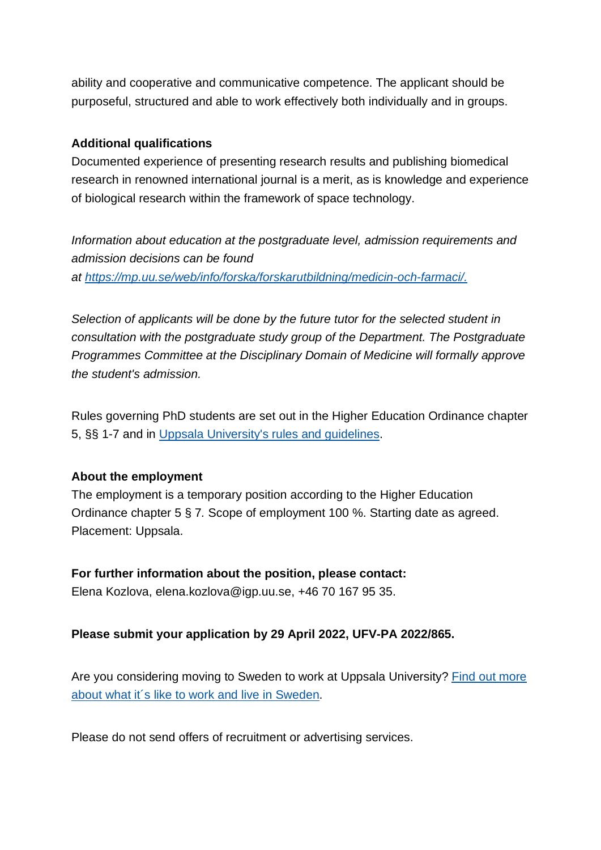ability and cooperative and communicative competence. The applicant should be purposeful, structured and able to work effectively both individually and in groups.

#### **Additional qualifications**

Documented experience of presenting research results and publishing biomedical research in renowned international journal is a merit, as is knowledge and experience of biological research within the framework of space technology.

*Information about education at the postgraduate level, admission requirements and admission decisions can be found at [https://mp.uu.se/web/info/forska/forskarutbildning/medicin-och-farmaci/.](https://mp.uu.se/web/info/forska/forskarutbildning/medicin-och-farmaci/)*

*Selection of applicants will be done by the future tutor for the selected student in consultation with the postgraduate study group of the Department. The Postgraduate Programmes Committee at the Disciplinary Domain of Medicine will formally approve the student's admission.*

Rules governing PhD students are set out in the Higher Education Ordinance chapter 5, §§ 1-7 and in [Uppsala University's rules and guidelines.](https://regler.uu.se/?languageId=1)

#### **About the employment**

The employment is a temporary position according to the Higher Education Ordinance chapter 5 § 7*.* Scope of employment 100 %. Starting date as agreed. Placement: Uppsala.

#### **For further information about the position, please contact:**

Elena Kozlova, elena.kozlova@igp.uu.se, +46 70 167 95 35.

#### **Please submit your application by 29 April 2022, UFV-PA 2022/865.**

Are you considering moving to Sweden to work at Uppsala University? Find out more [about what it´s like to work and live in](https://www.uu.se/en/about-uu/join-us/advantages/) Sweden.

Please do not send offers of recruitment or advertising services.